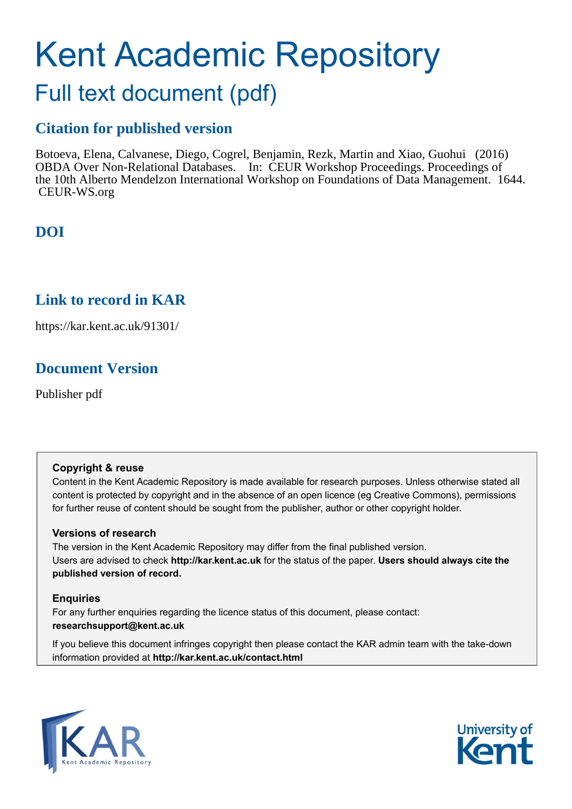# Kent Academic Repository

## Full text document (pdf)

## **Citation for published version**

Botoeva, Elena, Calvanese, Diego, Cogrel, Benjamin, Rezk, Martin and Xiao, Guohui (2016) OBDA Over Non-Relational Databases. In: CEUR Workshop Proceedings. Proceedings of the 10th Alberto Mendelzon International Workshop on Foundations of Data Management. 1644. CEUR-WS.org

## **DOI**

## **Link to record in KAR**

https://kar.kent.ac.uk/91301/

## **Document Version**

Publisher pdf

#### **Copyright & reuse**

Content in the Kent Academic Repository is made available for research purposes. Unless otherwise stated all content is protected by copyright and in the absence of an open licence (eg Creative Commons), permissions for further reuse of content should be sought from the publisher, author or other copyright holder.

#### **Versions of research**

The version in the Kent Academic Repository may differ from the final published version. Users are advised to check **http://kar.kent.ac.uk** for the status of the paper. **Users should always cite the published version of record.**

#### **Enquiries**

For any further enquiries regarding the licence status of this document, please contact: **researchsupport@kent.ac.uk**

If you believe this document infringes copyright then please contact the KAR admin team with the take-down information provided at **http://kar.kent.ac.uk/contact.html**



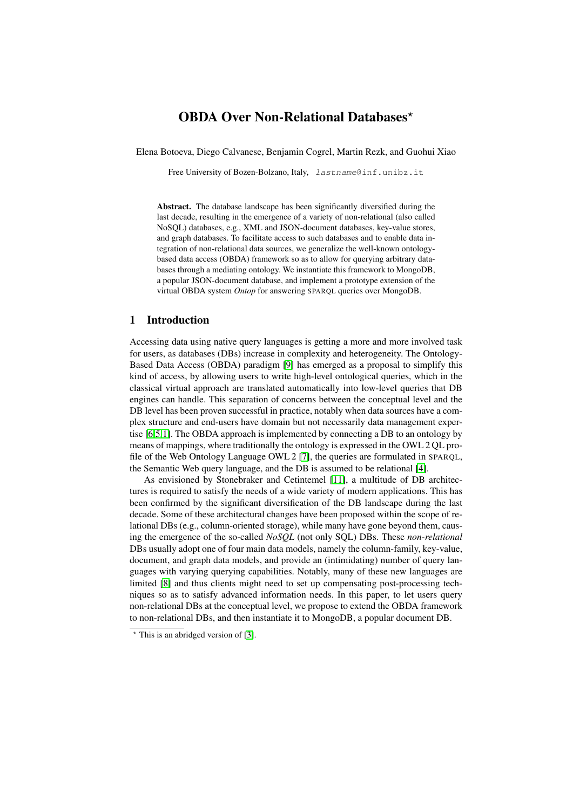#### OBDA Over Non-Relational Databases\*

Elena Botoeva, Diego Calvanese, Benjamin Cogrel, Martin Rezk, and Guohui Xiao

Free University of Bozen-Bolzano, Italy, lastname@inf.unibz.it

Abstract. The database landscape has been significantly diversified during the last decade, resulting in the emergence of a variety of non-relational (also called NoSQL) databases, e.g., XML and JSON-document databases, key-value stores, and graph databases. To facilitate access to such databases and to enable data integration of non-relational data sources, we generalize the well-known ontologybased data access (OBDA) framework so as to allow for querying arbitrary databases through a mediating ontology. We instantiate this framework to MongoDB, a popular JSON-document database, and implement a prototype extension of the virtual OBDA system *Ontop* for answering SPARQL queries over MongoDB.

#### 1 Introduction

Accessing data using native query languages is getting a more and more involved task for users, as databases (DBs) increase in complexity and heterogeneity. The Ontology-Based Data Access (OBDA) paradigm [9] has emerged as a proposal to simplify this kind of access, by allowing users to write high-level ontological queries, which in the classical virtual approach are translated automatically into low-level queries that DB engines can handle. This separation of concerns between the conceptual level and the DB level has been proven successful in practice, notably when data sources have a complex structure and end-users have domain but not necessarily data management expertise [6,5,1]. The OBDA approach is implemented by connecting a DB to an ontology by means of mappings, where traditionally the ontology is expressed in the OWL 2 QL profile of the Web Ontology Language OWL 2 [7], the queries are formulated in SPARQL, the Semantic Web query language, and the DB is assumed to be relational [4].

As envisioned by Stonebraker and Cetintemel [11], a multitude of DB architectures is required to satisfy the needs of a wide variety of modern applications. This has been confirmed by the significant diversification of the DB landscape during the last decade. Some of these architectural changes have been proposed within the scope of relational DBs (e.g., column-oriented storage), while many have gone beyond them, causing the emergence of the so-called *NoSQL* (not only SQL) DBs. These *non-relational* DBs usually adopt one of four main data models, namely the column-family, key-value, document, and graph data models, and provide an (intimidating) number of query languages with varying querying capabilities. Notably, many of these new languages are limited [8] and thus clients might need to set up compensating post-processing techniques so as to satisfy advanced information needs. In this paper, to let users query non-relational DBs at the conceptual level, we propose to extend the OBDA framework to non-relational DBs, and then instantiate it to MongoDB, a popular document DB.

 $*$  This is an abridged version of [3].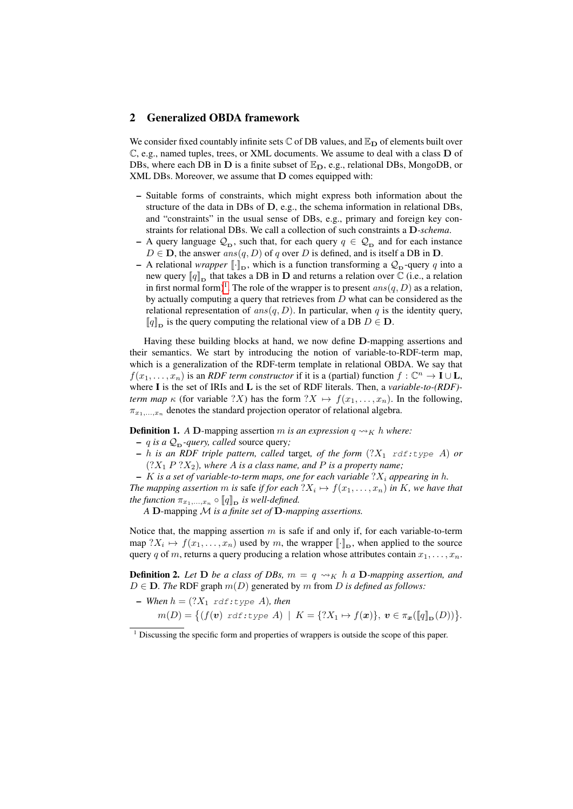#### 2 Generalized OBDA framework

We consider fixed countably infinite sets  $\mathbb C$  of DB values, and  $\mathbb E_{\mathbf D}$  of elements built over  $\mathbb{C}$ , e.g., named tuples, trees, or XML documents. We assume to deal with a class  $D$  of DBs, where each DB in D is a finite subset of  $\mathbb{E}_{\mathbf{D}}$ , e.g., relational DBs, MongoDB, or XML DBs. Moreover, we assume that D comes equipped with:

- Suitable forms of constraints, which might express both information about the structure of the data in DBs of  $D$ , e.g., the schema information in relational DBs, and "constraints" in the usual sense of DBs, e.g., primary and foreign key constraints for relational DBs. We call a collection of such constraints a D*-schema*.
- A query language  $\mathcal{Q}_{D}$ , such that, for each query  $q \in \mathcal{Q}_{D}$  and for each instance  $D \in \mathbf{D}$ , the answer  $ans(q, D)$  of q over D is defined, and is itself a DB in  $\mathbf{D}$ .
- A relational *wrapper*  $[\![\cdot]\!]_D$ , which is a function transforming a  $\mathcal{Q}_D$ -query q into a new query  $\llbracket q \rrbracket_{\text{D}}$  that takes a DB in **D** and returns a relation over  $\mathbb C$  (i.e., a relation in first normal form)<sup>1</sup>. The role of the wrapper is to present  $ans(q, D)$  as a relation, by actually computing a query that retrieves from D what can be considered as the relational representation of  $ans(q, D)$ . In particular, when q is the identity query,  $[q]_{\text{D}}$  is the query computing the relational view of a DB  $D \in \mathbf{D}$ .

Having these building blocks at hand, we now define D-mapping assertions and their semantics. We start by introducing the notion of variable-to-RDF-term map, which is a generalization of the RDF-term template in relational OBDA. We say that  $f(x_1, \ldots, x_n)$  is an *RDF term constructor* if it is a (partial) function  $f: \mathbb{C}^n \to I \cup L$ , where I is the set of IRIs and L is the set of RDF literals. Then, a *variable-to-(RDF) term map*  $\kappa$  (for variable ?X) has the form  $?X \mapsto f(x_1, \ldots, x_n)$ . In the following,  $\pi_{x_1,\ldots,x_n}$  denotes the standard projection operator of relational algebra.

**Definition 1.** *A* **D**-mapping assertion *m is an expression*  $q \rightarrow K h$  *where:* 

 $- q$  *is a*  $\mathcal{Q}_D$ *-query, called* source query;

 $- h$  *is an RDF triple pattern, called target, of the form*  $(?X_1 \text{ rdf: type } A)$  *or*  $(?X<sub>1</sub> P ?X<sub>2</sub>)$ *, where A is a class name, and P is a property name;* 

 $-$  K *is a set of variable-to-term maps, one for each variable*  $?X_i$  *appearing in h.* The mapping assertion m is safe if for each  $?X_i \mapsto f(x_1, \ldots, x_n)$  in K, we have that *the function*  $\pi_{x_1,...,x_n} \circ \llbracket q \rrbracket_{\textbf{D}}$  *is well-defined.* 

*A* D-mapping M *is a finite set of* D*-mapping assertions.*

Notice that, the mapping assertion  $m$  is safe if and only if, for each variable-to-term map  $?X_i \mapsto f(x_1, \ldots, x_n)$  used by m, the wrapper  $[\![\cdot]\!]_D$ , when applied to the source query q of m, returns a query producing a relation whose attributes contain  $x_1, \ldots, x_n$ .

**Definition 2.** Let **D** be a class of DBs,  $m = q \rightsquigarrow_K h a$  **D**-mapping assertion, and  $D \in \mathbf{D}$ . The RDF graph  $m(D)$  generated by m from D is defined as follows:

\n- \n
$$
\text{When } h = (?X_1 \text{ rdf: type } A), \text{ then}
$$
\n
$$
m(D) = \left\{ (f(\mathbf{v}) \text{ rdf: type } A) \mid K = \{?X_1 \mapsto f(\mathbf{x})\}, \mathbf{v} \in \pi_{\mathbf{x}}([\![q]\!]_{\mathbf{D}}(D)) \right\}.
$$
\n
\n

 $1$  Discussing the specific form and properties of wrappers is outside the scope of this paper.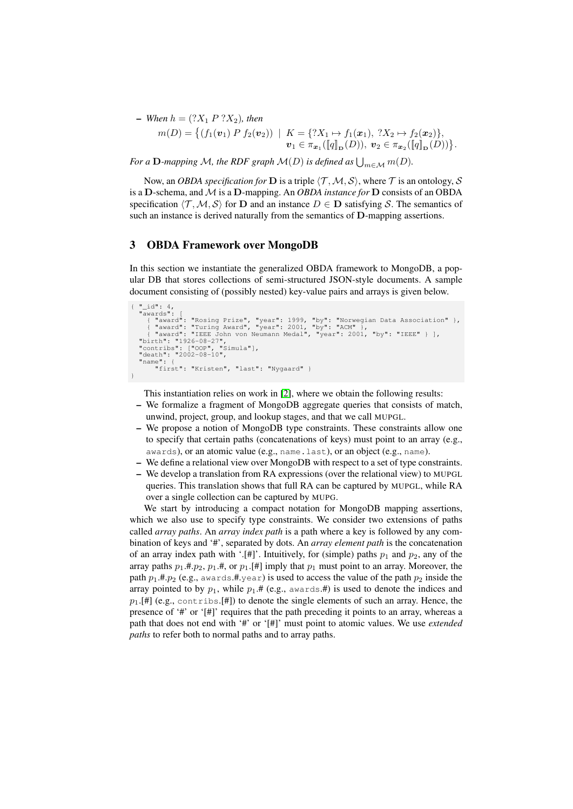$-$  *When*  $h = (?X_1 P ?X_2)$ *, then* 

$$
m(D) = \{ (f_1(\mathbf{v}_1) P f_2(\mathbf{v}_2)) | K = \{?X_1 \mapsto f_1(\mathbf{x}_1), ?X_2 \mapsto f_2(\mathbf{x}_2) \},
$$
  

$$
\mathbf{v}_1 \in \pi_{\mathbf{x}_1}(\llbracket q \rrbracket_{\mathbf{D}}(D)), \mathbf{v}_2 \in \pi_{\mathbf{x}_2}(\llbracket q \rrbracket_{\mathbf{D}}(D)) \}.
$$

For a  ${\bf D}$ -mapping M, the RDF graph  ${\cal M}(D)$  is defined as  $\bigcup_{m\in {\cal M}} m(D).$ 

Now, an *OBDA specification for* **D** is a triple  $\langle T, M, S \rangle$ , where T is an ontology, S is a D-schema, and M is a D-mapping. An *OBDA instance for* D consists of an OBDA specification  $\langle \mathcal{T},\mathcal{M}, \mathcal{S} \rangle$  for **D** and an instance  $D \in \mathbf{D}$  satisfying S. The semantics of such an instance is derived naturally from the semantics of D-mapping assertions.

#### 3 OBDA Framework over MongoDB

In this section we instantiate the generalized OBDA framework to MongoDB, a popular DB that stores collections of semi-structured JSON-style documents. A sample document consisting of (possibly nested) key-value pairs and arrays is given below.

```
{ "_id": 4,
"awards": [
    ( "award": "Rosing Prize", "year": 1999, "by": "Norwegian Data Association" },<br>( "award": "Turing Award", "year": 2001, "by": "ACM" },<br>( "award": "IEEE John von Neumann Medal", "year": 2001, "by": "IEEE" } ],<br>"birth": "192
    "contribs": ["OOP", "Simula"],
    "death": "2002-08-10",
"name": {
           "first": "Kristen", "last": "Nygaard" }
}
```
This instantiation relies on work in [2], where we obtain the following results:

- We formalize a fragment of MongoDB aggregate queries that consists of match, unwind, project, group, and lookup stages, and that we call MUPGL.
- We propose a notion of MongoDB type constraints. These constraints allow one to specify that certain paths (concatenations of keys) must point to an array (e.g., awards), or an atomic value (e.g., name.last), or an object (e.g., name).
- We define a relational view over MongoDB with respect to a set of type constraints.
- We develop a translation from RA expressions (over the relational view) to MUPGL queries. This translation shows that full RA can be captured by MUPGL, while RA over a single collection can be captured by MUPG.

We start by introducing a compact notation for MongoDB mapping assertions, which we also use to specify type constraints. We consider two extensions of paths called *array paths*. An *array index path* is a path where a key is followed by any combination of keys and '#', separated by dots. An *array element path* is the concatenation of an array index path with '.[#]'. Intuitively, for (simple) paths  $p_1$  and  $p_2$ , any of the array paths  $p_1 \text{.}#p_2, p_1 \text{.}#$ , or  $p_1 \text{.} [#]$  imply that  $p_1$  must point to an array. Moreover, the path  $p_1$ .#. $p_2$  (e.g., awards.#.year) is used to access the value of the path  $p_2$  inside the array pointed to by  $p_1$ , while  $p_1$ .# (e.g., awards.#) is used to denote the indices and  $p_1$ .[#] (e.g., contribs.[#]) to denote the single elements of such an array. Hence, the presence of '#' or '[#]' requires that the path preceding it points to an array, whereas a path that does not end with '#' or '[#]' must point to atomic values. We use *extended paths* to refer both to normal paths and to array paths.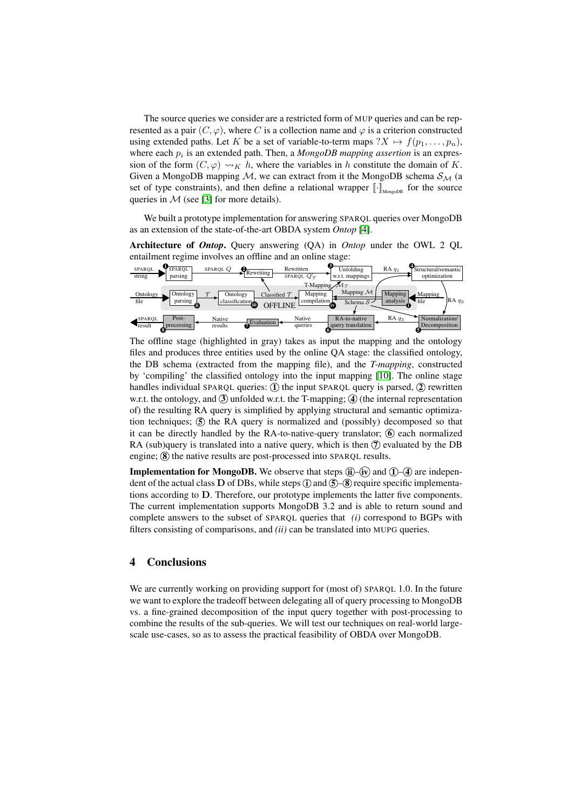The source queries we consider are a restricted form of MUP queries and can be represented as a pair  $(C, \varphi)$ , where C is a collection name and  $\varphi$  is a criterion constructed using extended paths. Let K be a set of variable-to-term maps  $?X \mapsto f(p_1, \ldots, p_n)$ , where each  $p_i$  is an extended path. Then, a  $MongoDB$  mapping assertion is an expression of the form  $(C, \varphi) \rightsquigarrow_K h$ , where the variables in h constitute the domain of K. Given a MongoDB mapping  $M$ , we can extract from it the MongoDB schema  $S_M$  (a set of type constraints), and then define a relational wrapper  $[\![\cdot]\!]_{\text{MongODB}}$  for the source queries in  $M$  (see [3] for more details).

We built a prototype implementation for answering SPARQL queries over MongoDB as an extension of the state-of-the-art OBDA system *Ontop* [4].

Architecture of *Ontop*. Query answering (QA) in *Ontop* under the OWL 2 QL entailment regime involves an offline and an online stage:



The offline stage (highlighted in gray) takes as input the mapping and the ontology files and produces three entities used by the online QA stage: the classified ontology, the DB schema (extracted from the mapping file), and the *T-mapping*, constructed by 'compiling' the classified ontology into the input mapping [10]. The online stage handles individual SPARQL queries:  $(1)$  the input SPARQL query is parsed,  $(2)$  rewritten w.r.t. the ontology, and  $\Im$  unfolded w.r.t. the T-mapping;  $\Im$  (the internal representation of) the resulting RA query is simplified by applying structural and semantic optimization techniques;  $(5)$  the RA query is normalized and (possibly) decomposed so that it can be directly handled by the RA-to-native-query translator;  $\circled{6}$  each normalized RA (sub)query is translated into a native query, which is then  $\mathcal{D}$  evaluated by the DB engine;  $\circledR$  the native results are post-processed into SPARQL results.

**Implementation for MongoDB.** We observe that steps  $\left(\mathbf{i}\right)$ – $\left(\mathbf{i}\right)$  and  $\left(\mathbf{1}\right)$ – $\left(\mathbf{4}\right)$  are independent of the actual class D of DBs, while steps  $\hat{I}$  and  $\hat{S}$  – $\hat{S}$  require specific implementations according to D. Therefore, our prototype implements the latter five components. The current implementation supports MongoDB 3.2 and is able to return sound and complete answers to the subset of SPARQL queries that *(i)* correspond to BGPs with filters consisting of comparisons, and *(ii)* can be translated into MUPG queries.

#### 4 Conclusions

We are currently working on providing support for (most of) SPARQL 1.0. In the future we want to explore the tradeoff between delegating all of query processing to MongoDB vs. a fine-grained decomposition of the input query together with post-processing to combine the results of the sub-queries. We will test our techniques on real-world largescale use-cases, so as to assess the practical feasibility of OBDA over MongoDB.